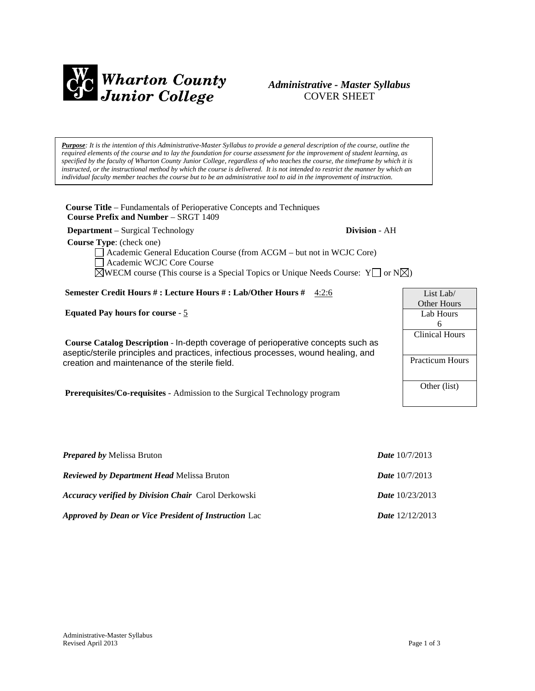

# *Administrative - Master Syllabus*  COVER SHEET

*Purpose: It is the intention of this Administrative-Master Syllabus to provide a general description of the course, outline the required elements of the course and to lay the foundation for course assessment for the improvement of student learning, as specified by the faculty of Wharton County Junior College, regardless of who teaches the course, the timeframe by which it is instructed, or the instructional method by which the course is delivered. It is not intended to restrict the manner by which an individual faculty member teaches the course but to be an administrative tool to aid in the improvement of instruction.*

**Course Title** – Fundamentals of Perioperative Concepts and Techniques  **Course Prefix and Number** – SRGT 1409

**Department** – Surgical Technology **Division** - AH

 **Course Type**: (check one)

Academic General Education Course (from ACGM – but not in WCJC Core) Academic WCJC Core Course  $\boxtimes$ WECM course (This course is a Special Topics or Unique Needs Course: Y  $\Box$  or N $\boxtimes$ )

# **Semester Credit Hours # : Lecture Hours # : Lab/Other Hours #** 4:2:6

**Equated Pay hours for course** - 5

**Course Catalog Description** - In-depth coverage of perioperative concepts such as aseptic/sterile principles and practices, infectious processes, wound healing, and creation and maintenance of the sterile field.

**Prerequisites/Co-requisites** - Admission to the Surgical Technology program

| <i>Prepared by Melissa Bruton</i>                          | <b>Date</b> $10/7/2013$  |
|------------------------------------------------------------|--------------------------|
| <i>Reviewed by Department Head Melissa Bruton</i>          | <b>Date</b> $10/7/2013$  |
| <b>Accuracy verified by Division Chair</b> Carol Derkowski | <i>Date</i> $10/23/2013$ |
| Approved by Dean or Vice President of Instruction Lac      | <i>Date</i> $12/12/2013$ |

List Lab/ Other Hours Lab Hours 6 Clinical Hours Practicum Hours Other (list)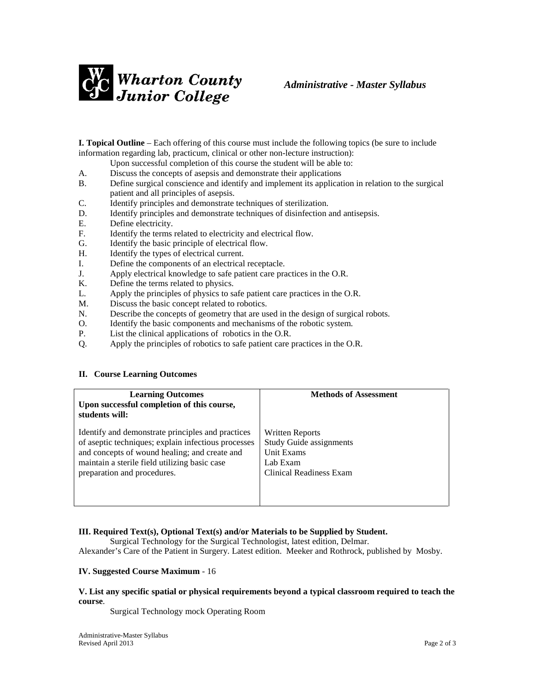

**I. Topical Outline** – Each offering of this course must include the following topics (be sure to include information regarding lab, practicum, clinical or other non-lecture instruction):

Upon successful completion of this course the student will be able to:

- A. Discuss the concepts of asepsis and demonstrate their applications<br>B. Define surgical conscience and identify and implement its applications
- B. Define surgical conscience and identify and implement its application in relation to the surgical patient and all principles of asepsis.
- C. Identify principles and demonstrate techniques of sterilization.
- D. Identify principles and demonstrate techniques of disinfection and antisepsis.
- E. Define electricity.
- F. Identify the terms related to electricity and electrical flow.
- G. Identify the basic principle of electrical flow.
- H. Identify the types of electrical current.
- I. Define the components of an electrical receptacle.
- J. Apply electrical knowledge to safe patient care practices in the O.R.
- K. Define the terms related to physics.
- L. Apply the principles of physics to safe patient care practices in the O.R.
- M. Discuss the basic concept related to robotics.
- N. Describe the concepts of geometry that are used in the design of surgical robots.
- O. Identify the basic components and mechanisms of the robotic system.
- P. List the clinical applications of robotics in the O.R.
- Q. Apply the principles of robotics to safe patient care practices in the O.R.

# **II. Course Learning Outcomes**

| <b>Learning Outcomes</b><br>Upon successful completion of this course,<br>students will: | <b>Methods of Assessment</b>   |
|------------------------------------------------------------------------------------------|--------------------------------|
| Identify and demonstrate principles and practices                                        | <b>Written Reports</b>         |
| of aseptic techniques; explain infectious processes                                      | <b>Study Guide assignments</b> |
| and concepts of wound healing; and create and                                            | Unit Exams                     |
| maintain a sterile field utilizing basic case                                            | Lab Exam                       |
| preparation and procedures.                                                              | Clinical Readiness Exam        |

# **III. Required Text(s), Optional Text(s) and/or Materials to be Supplied by Student.**

Surgical Technology for the Surgical Technologist, latest edition, Delmar. Alexander's Care of the Patient in Surgery. Latest edition. Meeker and Rothrock, published by Mosby.

#### **IV. Suggested Course Maximum** - 16

#### **V. List any specific spatial or physical requirements beyond a typical classroom required to teach the course**.

Surgical Technology mock Operating Room